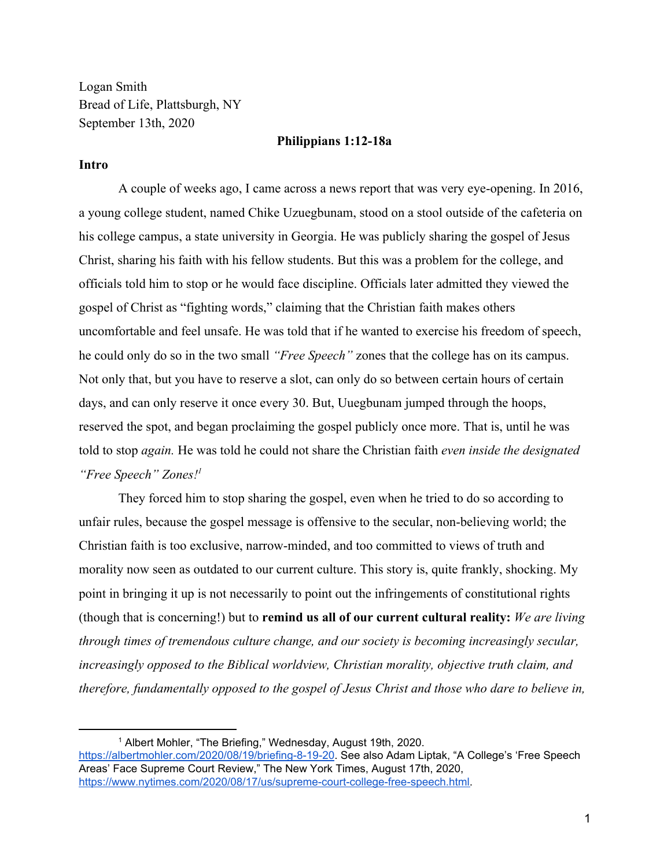Logan Smith Bread of Life, Plattsburgh, NY September 13th, 2020

## **Philippians 1:12-18a**

## **Intro**

A couple of weeks ago, I came across a news report that was very eye-opening. In 2016, a young college student, named Chike Uzuegbunam, stood on a stool outside of the cafeteria on his college campus, a state university in Georgia. He was publicly sharing the gospel of Jesus Christ, sharing his faith with his fellow students. But this was a problem for the college, and officials told him to stop or he would face discipline. Officials later admitted they viewed the gospel of Christ as "fighting words," claiming that the Christian faith makes others uncomfortable and feel unsafe. He was told that if he wanted to exercise his freedom of speech, he could only do so in the two small *"Free Speech"* zones that the college has on its campus. Not only that, but you have to reserve a slot, can only do so between certain hours of certain days, and can only reserve it once every 30. But, Uuegbunam jumped through the hoops, reserved the spot, and began proclaiming the gospel publicly once more. That is, until he was told to stop *again.* He was told he could not share the Christian faith *even inside the designated "Free Speech" Zones!<sup>1</sup>*

They forced him to stop sharing the gospel, even when he tried to do so according to unfair rules, because the gospel message is offensive to the secular, non-believing world; the Christian faith is too exclusive, narrow-minded, and too committed to views of truth and morality now seen as outdated to our current culture. This story is, quite frankly, shocking. My point in bringing it up is not necessarily to point out the infringements of constitutional rights (though that is concerning!) but to **remind us all of our current cultural reality:** *We are living through times of tremendous culture change, and our society is becoming increasingly secular, increasingly opposed to the Biblical worldview, Christian morality, objective truth claim, and therefore, fundamentally opposed to the gospel of Jesus Christ and those who dare to believe in,*

<https://albertmohler.com/2020/08/19/briefing-8-19-20>. See also Adam Liptak, "A College's 'Free Speech Areas' Face Supreme Court Review," The New York Times, August 17th, 2020, [https://www.nytimes.com/2020/08/17/us/supreme-court-college-free-speech.html.](https://www.nytimes.com/2020/08/17/us/supreme-court-college-free-speech.html)

<sup>1</sup> Albert Mohler, "The Briefing," Wednesday, August 19th, 2020.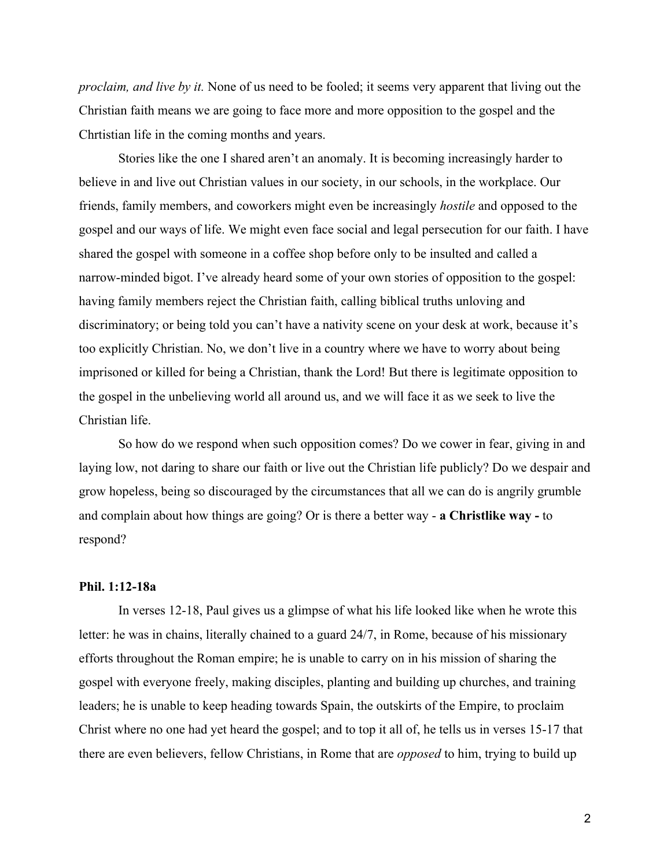*proclaim, and live by it.* None of us need to be fooled; it seems very apparent that living out the Christian faith means we are going to face more and more opposition to the gospel and the Chrtistian life in the coming months and years.

Stories like the one I shared aren't an anomaly. It is becoming increasingly harder to believe in and live out Christian values in our society, in our schools, in the workplace. Our friends, family members, and coworkers might even be increasingly *hostile* and opposed to the gospel and our ways of life. We might even face social and legal persecution for our faith. I have shared the gospel with someone in a coffee shop before only to be insulted and called a narrow-minded bigot. I've already heard some of your own stories of opposition to the gospel: having family members reject the Christian faith, calling biblical truths unloving and discriminatory; or being told you can't have a nativity scene on your desk at work, because it's too explicitly Christian. No, we don't live in a country where we have to worry about being imprisoned or killed for being a Christian, thank the Lord! But there is legitimate opposition to the gospel in the unbelieving world all around us, and we will face it as we seek to live the Christian life.

So how do we respond when such opposition comes? Do we cower in fear, giving in and laying low, not daring to share our faith or live out the Christian life publicly? Do we despair and grow hopeless, being so discouraged by the circumstances that all we can do is angrily grumble and complain about how things are going? Or is there a better way - **a Christlike way -** to respond?

## **Phil. 1:12-18a**

In verses 12-18, Paul gives us a glimpse of what his life looked like when he wrote this letter: he was in chains, literally chained to a guard 24/7, in Rome, because of his missionary efforts throughout the Roman empire; he is unable to carry on in his mission of sharing the gospel with everyone freely, making disciples, planting and building up churches, and training leaders; he is unable to keep heading towards Spain, the outskirts of the Empire, to proclaim Christ where no one had yet heard the gospel; and to top it all of, he tells us in verses 15-17 that there are even believers, fellow Christians, in Rome that are *opposed* to him, trying to build up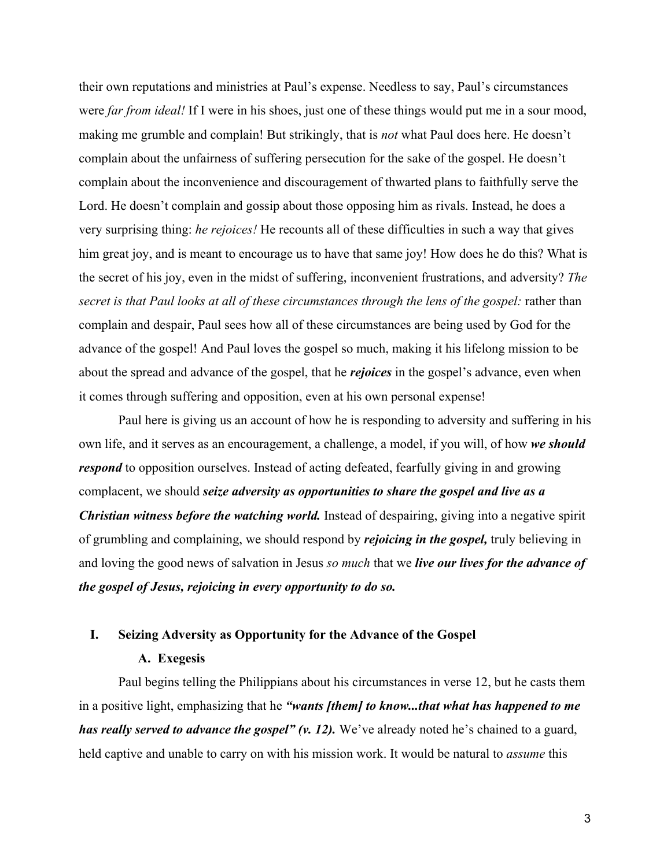their own reputations and ministries at Paul's expense. Needless to say, Paul's circumstances were *far from ideal!* If I were in his shoes, just one of these things would put me in a sour mood, making me grumble and complain! But strikingly, that is *not* what Paul does here. He doesn't complain about the unfairness of suffering persecution for the sake of the gospel. He doesn't complain about the inconvenience and discouragement of thwarted plans to faithfully serve the Lord. He doesn't complain and gossip about those opposing him as rivals. Instead, he does a very surprising thing: *he rejoices!* He recounts all of these difficulties in such a way that gives him great joy, and is meant to encourage us to have that same joy! How does he do this? What is the secret of his joy, even in the midst of suffering, inconvenient frustrations, and adversity? *The secret is that Paul looks at all of these circumstances through the lens of the gospel:* rather than complain and despair, Paul sees how all of these circumstances are being used by God for the advance of the gospel! And Paul loves the gospel so much, making it his lifelong mission to be about the spread and advance of the gospel, that he *rejoices* in the gospel's advance, even when it comes through suffering and opposition, even at his own personal expense!

Paul here is giving us an account of how he is responding to adversity and suffering in his own life, and it serves as an encouragement, a challenge, a model, if you will, of how *we should respond* to opposition ourselves. Instead of acting defeated, fearfully giving in and growing complacent, we should *seize adversity as opportunities to share the gospel and live as a Christian witness before the watching world.* Instead of despairing, giving into a negative spirit of grumbling and complaining, we should respond by *rejoicing in the gospel,* truly believing in and loving the good news of salvation in Jesus *so much* that we *live our lives for the advance of the gospel of Jesus, rejoicing in every opportunity to do so.*

# **I. Seizing Adversity as Opportunity for the Advance of the Gospel**

## **A. Exegesis**

Paul begins telling the Philippians about his circumstances in verse 12, but he casts them in a positive light, emphasizing that he *"wants [them] to know...that what has happened to me has really served to advance the gospel" (v. 12).* We've already noted he's chained to a guard, held captive and unable to carry on with his mission work. It would be natural to *assume* this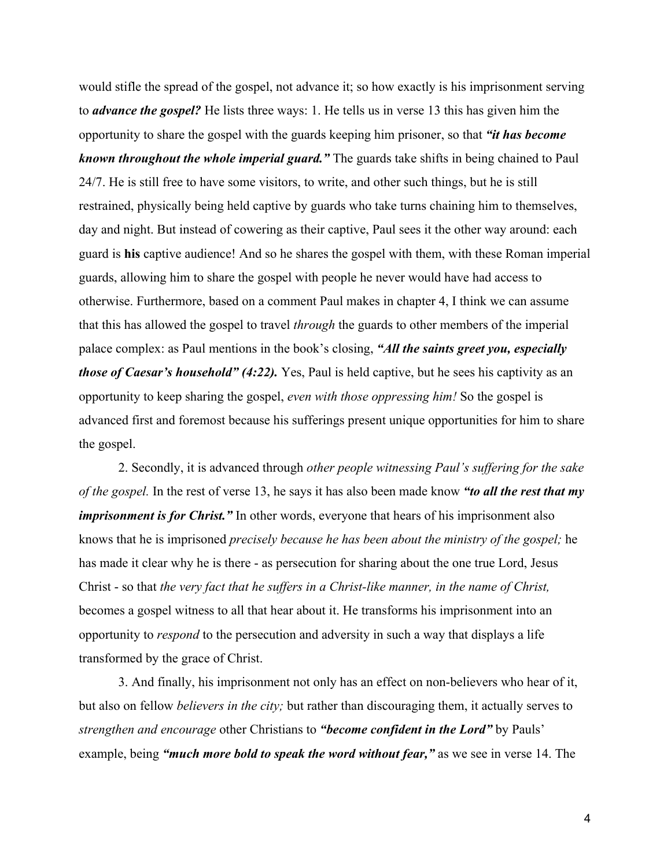would stifle the spread of the gospel, not advance it; so how exactly is his imprisonment serving to *advance the gospel?* He lists three ways: 1. He tells us in verse 13 this has given him the opportunity to share the gospel with the guards keeping him prisoner, so that *"it has become known throughout the whole imperial guard."* The guards take shifts in being chained to Paul 24/7. He is still free to have some visitors, to write, and other such things, but he is still restrained, physically being held captive by guards who take turns chaining him to themselves, day and night. But instead of cowering as their captive, Paul sees it the other way around: each guard is **his** captive audience! And so he shares the gospel with them, with these Roman imperial guards, allowing him to share the gospel with people he never would have had access to otherwise. Furthermore, based on a comment Paul makes in chapter 4, I think we can assume that this has allowed the gospel to travel *through* the guards to other members of the imperial palace complex: as Paul mentions in the book's closing, *"All the saints greet you, especially those of Caesar's household" (4:22).* Yes, Paul is held captive, but he sees his captivity as an opportunity to keep sharing the gospel, *even with those oppressing him!* So the gospel is advanced first and foremost because his sufferings present unique opportunities for him to share the gospel.

2. Secondly, it is advanced through *other people witnessing Paul's suffering for the sake of the gospel.* In the rest of verse 13, he says it has also been made know *"to all the rest that my imprisonment is for Christ.*" In other words, everyone that hears of his imprisonment also knows that he is imprisoned *precisely because he has been about the ministry of the gospel;* he has made it clear why he is there - as persecution for sharing about the one true Lord, Jesus Christ - so that *the very fact that he suffers in a Christ-like manner, in the name of Christ,* becomes a gospel witness to all that hear about it. He transforms his imprisonment into an opportunity to *respond* to the persecution and adversity in such a way that displays a life transformed by the grace of Christ.

3. And finally, his imprisonment not only has an effect on non-believers who hear of it, but also on fellow *believers in the city;* but rather than discouraging them, it actually serves to *strengthen and encourage* other Christians to *"become confident in the Lord"* by Pauls' example, being *"much more bold to speak the word without fear,"* as we see in verse 14. The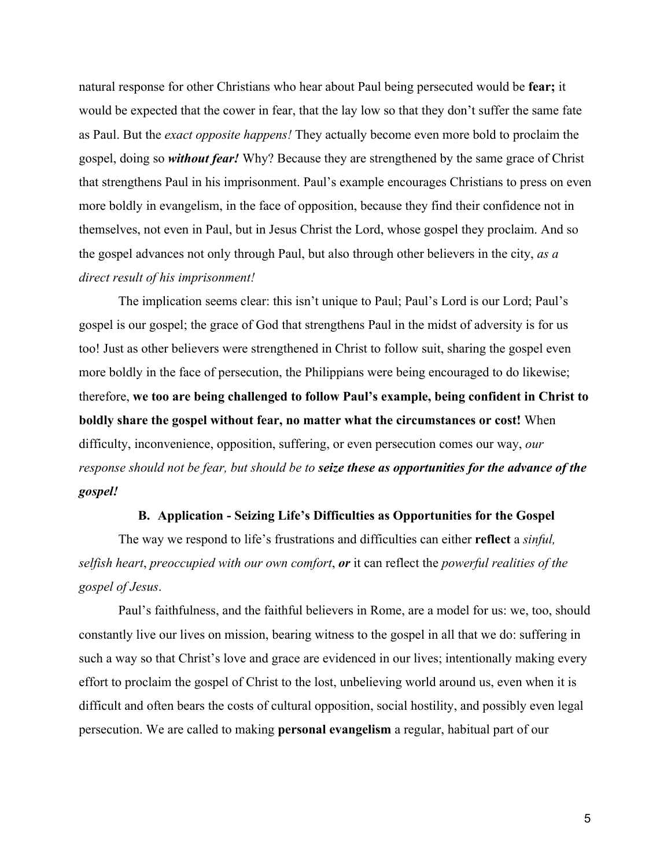natural response for other Christians who hear about Paul being persecuted would be **fear;** it would be expected that the cower in fear, that the lay low so that they don't suffer the same fate as Paul. But the *exact opposite happens!* They actually become even more bold to proclaim the gospel, doing so *without fear!* Why? Because they are strengthened by the same grace of Christ that strengthens Paul in his imprisonment. Paul's example encourages Christians to press on even more boldly in evangelism, in the face of opposition, because they find their confidence not in themselves, not even in Paul, but in Jesus Christ the Lord, whose gospel they proclaim. And so the gospel advances not only through Paul, but also through other believers in the city, *as a direct result of his imprisonment!*

The implication seems clear: this isn't unique to Paul; Paul's Lord is our Lord; Paul's gospel is our gospel; the grace of God that strengthens Paul in the midst of adversity is for us too! Just as other believers were strengthened in Christ to follow suit, sharing the gospel even more boldly in the face of persecution, the Philippians were being encouraged to do likewise; therefore, **we too are being challenged to follow Paul's example, being confident in Christ to boldly share the gospel without fear, no matter what the circumstances or cost!** When difficulty, inconvenience, opposition, suffering, or even persecution comes our way, *our response should not be fear, but should be to seize these as opportunities for the advance of the gospel!*

#### **B. Application - Seizing Life's Difficulties as Opportunities for the Gospel**

The way we respond to life's frustrations and difficulties can either **reflect** a *sinful, selfish heart*, *preoccupied with our own comfort*, *or* it can reflect the *powerful realities of the gospel of Jesus*.

Paul's faithfulness, and the faithful believers in Rome, are a model for us: we, too, should constantly live our lives on mission, bearing witness to the gospel in all that we do: suffering in such a way so that Christ's love and grace are evidenced in our lives; intentionally making every effort to proclaim the gospel of Christ to the lost, unbelieving world around us, even when it is difficult and often bears the costs of cultural opposition, social hostility, and possibly even legal persecution. We are called to making **personal evangelism** a regular, habitual part of our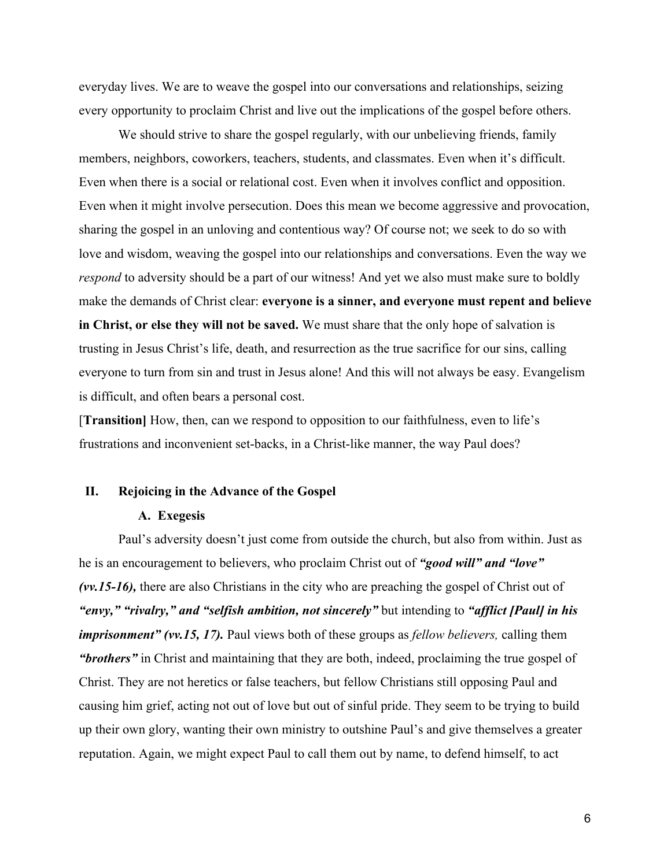everyday lives. We are to weave the gospel into our conversations and relationships, seizing every opportunity to proclaim Christ and live out the implications of the gospel before others.

We should strive to share the gospel regularly, with our unbelieving friends, family members, neighbors, coworkers, teachers, students, and classmates. Even when it's difficult. Even when there is a social or relational cost. Even when it involves conflict and opposition. Even when it might involve persecution. Does this mean we become aggressive and provocation, sharing the gospel in an unloving and contentious way? Of course not; we seek to do so with love and wisdom, weaving the gospel into our relationships and conversations. Even the way we *respond* to adversity should be a part of our witness! And yet we also must make sure to boldly make the demands of Christ clear: **everyone is a sinner, and everyone must repent and believe in Christ, or else they will not be saved.** We must share that the only hope of salvation is trusting in Jesus Christ's life, death, and resurrection as the true sacrifice for our sins, calling everyone to turn from sin and trust in Jesus alone! And this will not always be easy. Evangelism is difficult, and often bears a personal cost.

[**Transition]** How, then, can we respond to opposition to our faithfulness, even to life's frustrations and inconvenient set-backs, in a Christ-like manner, the way Paul does?

#### **II. Rejoicing in the Advance of the Gospel**

#### **A. Exegesis**

Paul's adversity doesn't just come from outside the church, but also from within. Just as he is an encouragement to believers, who proclaim Christ out of *"good will" and "love" (vv.15-16),* there are also Christians in the city who are preaching the gospel of Christ out of *"envy," "rivalry," and "selfish ambition, not sincerely"* but intending to *"afflict [Paul] in his imprisonment" (vv.15, 17).* Paul views both of these groups as *fellow believers,* calling them *"brothers"* in Christ and maintaining that they are both, indeed, proclaiming the true gospel of Christ. They are not heretics or false teachers, but fellow Christians still opposing Paul and causing him grief, acting not out of love but out of sinful pride. They seem to be trying to build up their own glory, wanting their own ministry to outshine Paul's and give themselves a greater reputation. Again, we might expect Paul to call them out by name, to defend himself, to act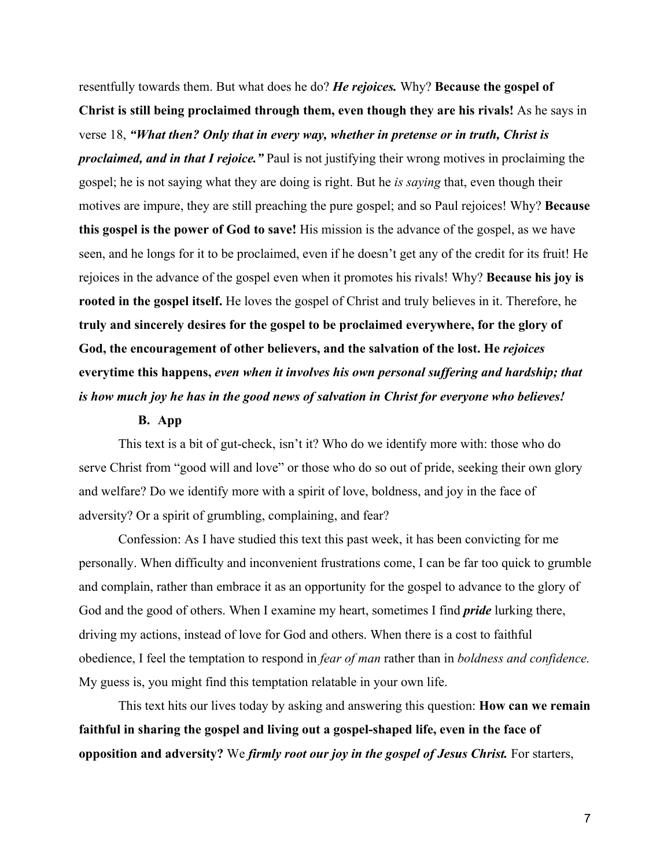resentfully towards them. But what does he do? *He rejoices.* Why? **Because the gospel of Christ is still being proclaimed through them, even though they are his rivals!** As he says in verse 18, *"What then? Only that in every way, whether in pretense or in truth, Christ is proclaimed, and in that I rejoice."* Paul is not justifying their wrong motives in proclaiming the gospel; he is not saying what they are doing is right. But he *is saying* that, even though their motives are impure, they are still preaching the pure gospel; and so Paul rejoices! Why? **Because this gospel is the power of God to save!** His mission is the advance of the gospel, as we have seen, and he longs for it to be proclaimed, even if he doesn't get any of the credit for its fruit! He rejoices in the advance of the gospel even when it promotes his rivals! Why? **Because his joy is rooted in the gospel itself.** He loves the gospel of Christ and truly believes in it. Therefore, he **truly and sincerely desires for the gospel to be proclaimed everywhere, for the glory of God, the encouragement of other believers, and the salvation of the lost. He** *rejoices* **everytime this happens,** *even when it involves his own personal suffering and hardship; that is how much joy he has in the good news of salvation in Christ for everyone who believes!*

#### **B. App**

This text is a bit of gut-check, isn't it? Who do we identify more with: those who do serve Christ from "good will and love" or those who do so out of pride, seeking their own glory and welfare? Do we identify more with a spirit of love, boldness, and joy in the face of adversity? Or a spirit of grumbling, complaining, and fear?

Confession: As I have studied this text this past week, it has been convicting for me personally. When difficulty and inconvenient frustrations come, I can be far too quick to grumble and complain, rather than embrace it as an opportunity for the gospel to advance to the glory of God and the good of others. When I examine my heart, sometimes I find *pride* lurking there, driving my actions, instead of love for God and others. When there is a cost to faithful obedience, I feel the temptation to respond in *fear of man* rather than in *boldness and confidence.* My guess is, you might find this temptation relatable in your own life.

This text hits our lives today by asking and answering this question: **How can we remain faithful in sharing the gospel and living out a gospel-shaped life, even in the face of opposition and adversity?** We *firmly root our joy in the gospel of Jesus Christ.* For starters,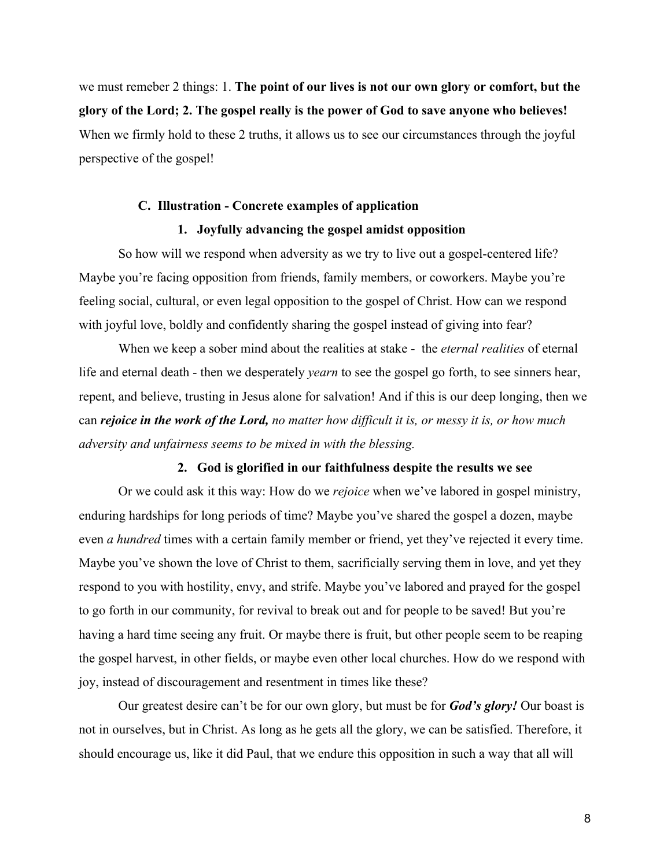we must remeber 2 things: 1. **The point of our lives is not our own glory or comfort, but the glory of the Lord; 2. The gospel really is the power of God to save anyone who believes!** When we firmly hold to these 2 truths, it allows us to see our circumstances through the joyful perspective of the gospel!

# **C. Illustration - Concrete examples of application**

## **1. Joyfully advancing the gospel amidst opposition**

So how will we respond when adversity as we try to live out a gospel-centered life? Maybe you're facing opposition from friends, family members, or coworkers. Maybe you're feeling social, cultural, or even legal opposition to the gospel of Christ. How can we respond with joyful love, boldly and confidently sharing the gospel instead of giving into fear?

When we keep a sober mind about the realities at stake - the *eternal realities* of eternal life and eternal death - then we desperately *yearn* to see the gospel go forth, to see sinners hear, repent, and believe, trusting in Jesus alone for salvation! And if this is our deep longing, then we can *rejoice in the work of the Lord, no matter how difficult it is, or messy it is, or how much adversity and unfairness seems to be mixed in with the blessing.*

## **2. God is glorified in our faithfulness despite the results we see**

Or we could ask it this way: How do we *rejoice* when we've labored in gospel ministry, enduring hardships for long periods of time? Maybe you've shared the gospel a dozen, maybe even *a hundred* times with a certain family member or friend, yet they've rejected it every time. Maybe you've shown the love of Christ to them, sacrificially serving them in love, and yet they respond to you with hostility, envy, and strife. Maybe you've labored and prayed for the gospel to go forth in our community, for revival to break out and for people to be saved! But you're having a hard time seeing any fruit. Or maybe there is fruit, but other people seem to be reaping the gospel harvest, in other fields, or maybe even other local churches. How do we respond with joy, instead of discouragement and resentment in times like these?

Our greatest desire can't be for our own glory, but must be for *God's glory!* Our boast is not in ourselves, but in Christ. As long as he gets all the glory, we can be satisfied. Therefore, it should encourage us, like it did Paul, that we endure this opposition in such a way that all will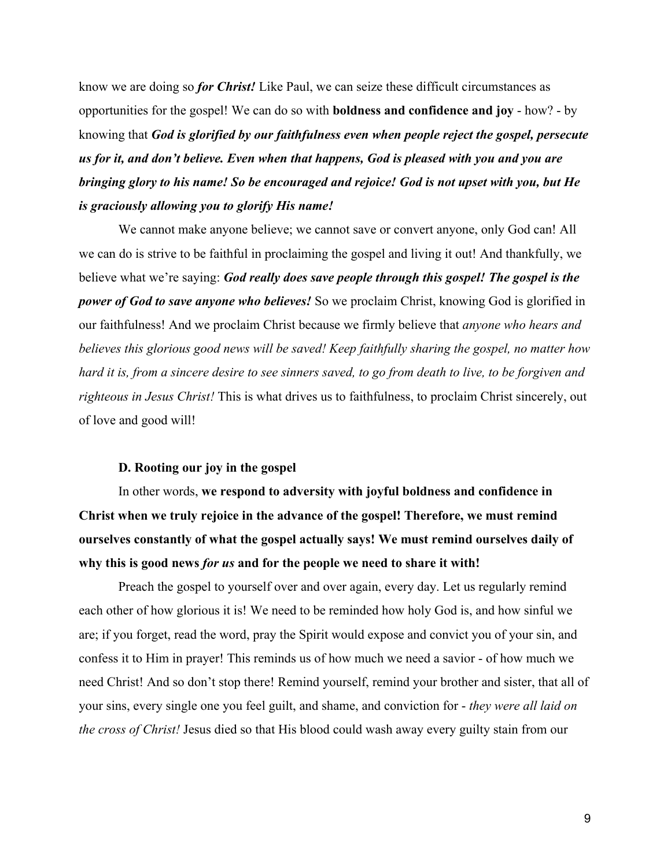know we are doing so *for Christ!* Like Paul, we can seize these difficult circumstances as opportunities for the gospel! We can do so with **boldness and confidence and joy** - how? - by knowing that *God is glorified by our faithfulness even when people reject the gospel, persecute us for it, and don't believe. Even when that happens, God is pleased with you and you are bringing glory to his name! So be encouraged and rejoice! God is not upset with you, but He is graciously allowing you to glorify His name!*

We cannot make anyone believe; we cannot save or convert anyone, only God can! All we can do is strive to be faithful in proclaiming the gospel and living it out! And thankfully, we believe what we're saying: *God really does save people through this gospel! The gospel is the power of God to save anyone who believes!* So we proclaim Christ, knowing God is glorified in our faithfulness! And we proclaim Christ because we firmly believe that *anyone who hears and believes this glorious good news will be saved! Keep faithfully sharing the gospel, no matter how hard it is, from a sincere desire to see sinners saved, to go from death to live, to be forgiven and righteous in Jesus Christ!* This is what drives us to faithfulness, to proclaim Christ sincerely, out of love and good will!

#### **D. Rooting our joy in the gospel**

In other words, **we respond to adversity with joyful boldness and confidence in Christ when we truly rejoice in the advance of the gospel! Therefore, we must remind ourselves constantly of what the gospel actually says! We must remind ourselves daily of why this is good news** *for us* **and for the people we need to share it with!**

Preach the gospel to yourself over and over again, every day. Let us regularly remind each other of how glorious it is! We need to be reminded how holy God is, and how sinful we are; if you forget, read the word, pray the Spirit would expose and convict you of your sin, and confess it to Him in prayer! This reminds us of how much we need a savior - of how much we need Christ! And so don't stop there! Remind yourself, remind your brother and sister, that all of your sins, every single one you feel guilt, and shame, and conviction for - *they were all laid on the cross of Christ!* Jesus died so that His blood could wash away every guilty stain from our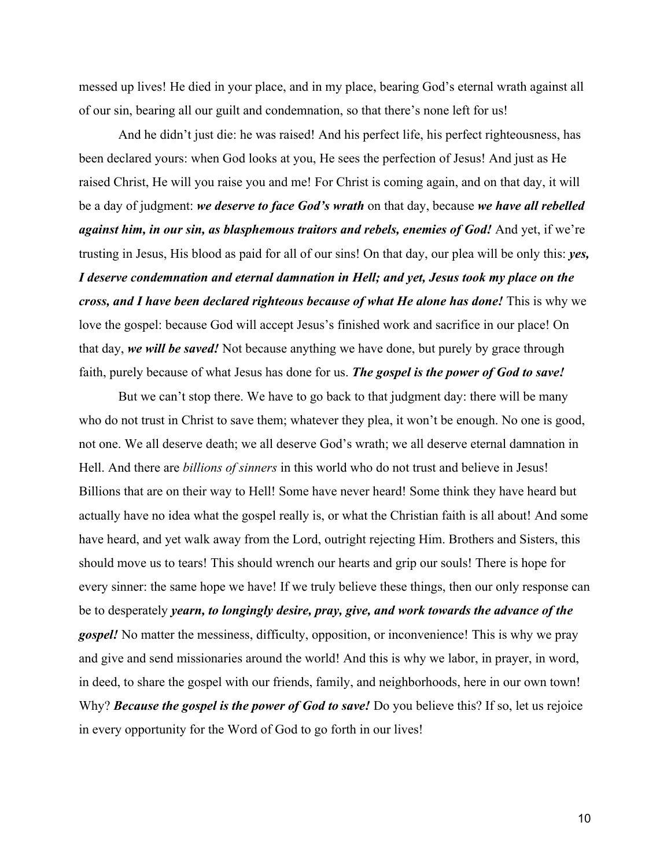messed up lives! He died in your place, and in my place, bearing God's eternal wrath against all of our sin, bearing all our guilt and condemnation, so that there's none left for us!

And he didn't just die: he was raised! And his perfect life, his perfect righteousness, has been declared yours: when God looks at you, He sees the perfection of Jesus! And just as He raised Christ, He will you raise you and me! For Christ is coming again, and on that day, it will be a day of judgment: *we deserve to face God's wrath* on that day, because *we have all rebelled against him, in our sin, as blasphemous traitors and rebels, enemies of God!* And yet, if we're trusting in Jesus, His blood as paid for all of our sins! On that day, our plea will be only this: *yes, I deserve condemnation and eternal damnation in Hell; and yet, Jesus took my place on the cross, and I have been declared righteous because of what He alone has done!* This is why we love the gospel: because God will accept Jesus's finished work and sacrifice in our place! On that day, *we will be saved!* Not because anything we have done, but purely by grace through faith, purely because of what Jesus has done for us. *The gospel is the power of God to save!*

But we can't stop there. We have to go back to that judgment day: there will be many who do not trust in Christ to save them; whatever they plea, it won't be enough. No one is good, not one. We all deserve death; we all deserve God's wrath; we all deserve eternal damnation in Hell. And there are *billions of sinners* in this world who do not trust and believe in Jesus! Billions that are on their way to Hell! Some have never heard! Some think they have heard but actually have no idea what the gospel really is, or what the Christian faith is all about! And some have heard, and yet walk away from the Lord, outright rejecting Him. Brothers and Sisters, this should move us to tears! This should wrench our hearts and grip our souls! There is hope for every sinner: the same hope we have! If we truly believe these things, then our only response can be to desperately *yearn, to longingly desire, pray, give, and work towards the advance of the gospel!* No matter the messiness, difficulty, opposition, or inconvenience! This is why we pray and give and send missionaries around the world! And this is why we labor, in prayer, in word, in deed, to share the gospel with our friends, family, and neighborhoods, here in our own town! Why? **Because the gospel is the power of God to save!** Do you believe this? If so, let us rejoice in every opportunity for the Word of God to go forth in our lives!

10